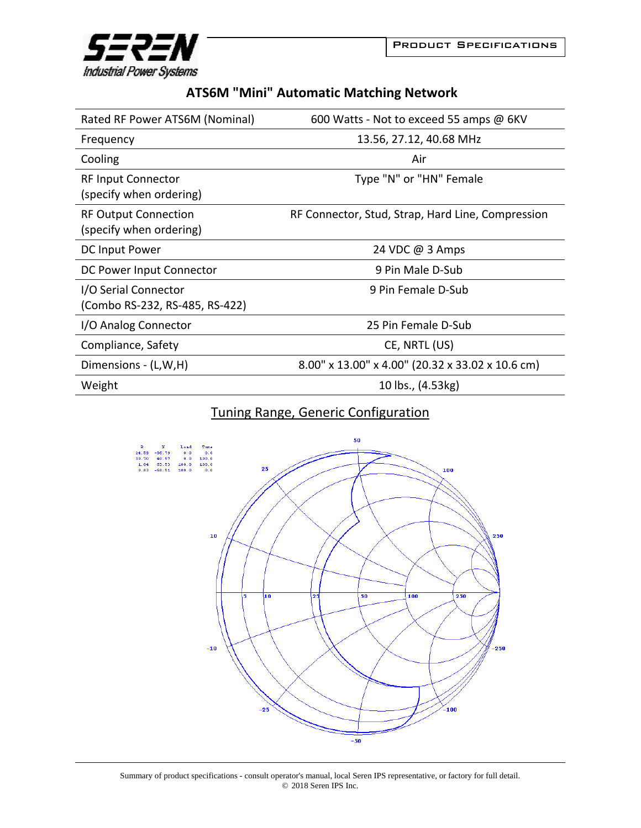

## **ATS6M "Mini" Automatic Matching Network**

| Rated RF Power ATS6M (Nominal)                         | 600 Watts - Not to exceed 55 amps @ 6KV           |
|--------------------------------------------------------|---------------------------------------------------|
| Frequency                                              | 13.56, 27.12, 40.68 MHz                           |
| Cooling                                                | Air                                               |
| <b>RF Input Connector</b><br>(specify when ordering)   | Type "N" or "HN" Female                           |
| <b>RF Output Connection</b><br>(specify when ordering) | RF Connector, Stud, Strap, Hard Line, Compression |
| DC Input Power                                         | 24 VDC @ 3 Amps                                   |
| DC Power Input Connector                               | 9 Pin Male D-Sub                                  |
| I/O Serial Connector<br>(Combo RS-232, RS-485, RS-422) | 9 Pin Female D-Sub                                |
| I/O Analog Connector                                   | 25 Pin Female D-Sub                               |
| Compliance, Safety                                     | CE, NRTL (US)                                     |
| Dimensions - (L,W,H)                                   | 8.00" x 13.00" x 4.00" (20.32 x 33.02 x 10.6 cm)  |
| Weight                                                 | 10 lbs., (4.53kg)                                 |

## Tuning Range, Generic Configuration